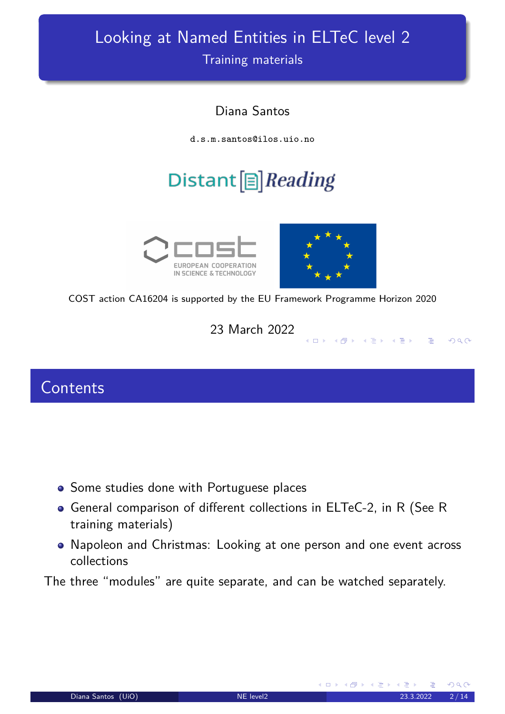# Looking at Named Entities in ELTeC level 2

Training materials

#### Diana Santos

d.s.m.santos@ilos.uio.no

# Distant  $[\equiv]$  Reading





**◆ロト → 伊ト → ミト** 

 $\equiv$ 

 $OQ$ 

COST action CA16204 is supported by the EU Framework Programme Horizon 2020

23 March 2022

#### **Contents**

- <span id="page-0-0"></span>**•** Some studies done with Portuguese places
- General comparison of different collections in ELTeC-2, in R (See R training materials)
- Napoleon and Christmas: Looking at one person and one event across collections

The three "modules" are quite separate, and can be watched separately.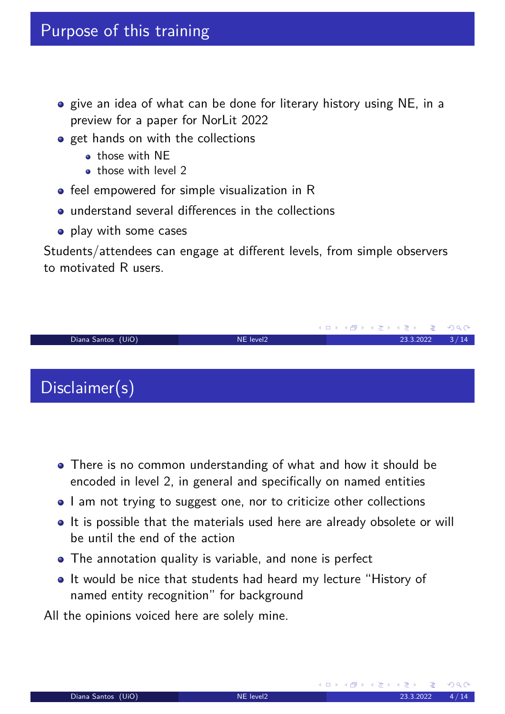- o give an idea of what can be done for literary history using NE, in a preview for a paper for NorLit 2022
- **•** get hands on with the collections
	- o those with NF
	- those with level 2
- **•** feel empowered for simple visualization in R
- understand several differences in the collections
- play with some cases

Students/attendees can engage at different levels, from simple observers to motivated R users.



- There is no common understanding of what and how it should be encoded in level 2, in general and specifically on named entities
- I am not trying to suggest one, nor to criticize other collections
- It is possible that the materials used here are already obsolete or will be until the end of the action
- The annotation quality is variable, and none is perfect
- It would be nice that students had heard my lecture "History of named entity recognition" for background

All the opinions voiced here are solely mine.

(ロ) (団)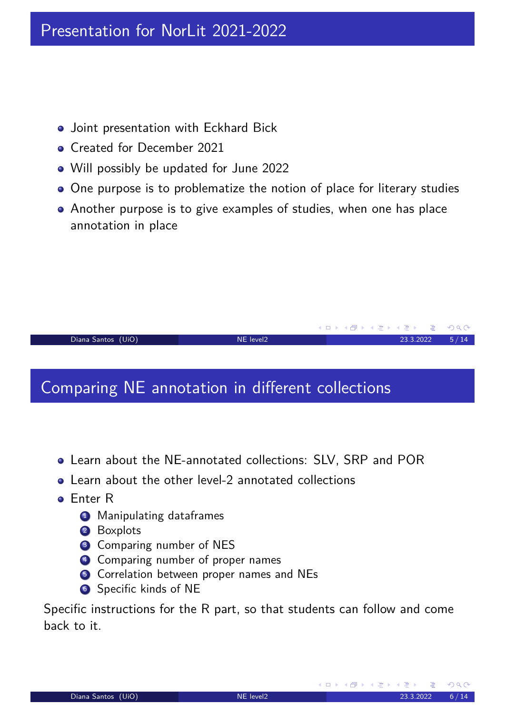- **•** Joint presentation with Eckhard Bick
- **Created for December 2021**
- Will possibly be updated for June 2022
- One purpose is to problematize the notion of place for literary studies
- Another purpose is to give examples of studies, when one has place annotation in place

Diana Santos (UiO) 14 12 23.3.2022 5 / 14

**K ロ ▶ K 御 ▶ K 君 ▶ K 君 ▶** ...

**K ロ ▶ K 御 ▶ K ミ ▶** 

 $OQ$ 

### Comparing NE annotation in different collections

- Learn about the NE-annotated collections: SLV, SRP and POR
- **•** Learn about the other level-2 annotated collections
- Enter R
	- **4** Manipulating dataframes
	- 2 Boxplots
	- <sup>3</sup> Comparing number of NES
	- <sup>4</sup> Comparing number of proper names
	- **5** Correlation between proper names and NEs
	- **6** Specific kinds of NE

Specific instructions for the R part, so that students can follow and come back to it.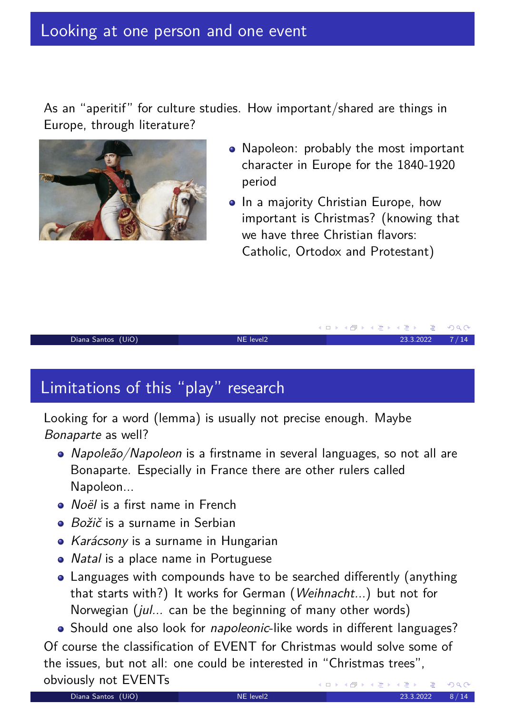#### Looking at one person and one event

As an "aperitif" for culture studies. How important/shared are things in Europe, through literature?



- Napoleon: probably the most important character in Europe for the 1840-1920 period
- In a majority Christian Europe, how important is Christmas? (knowing that we have three Christian flavors: Catholic, Ortodox and Protestant)

**K ロ ▶ K 御 ▶ K 君 ▶** 

#### Diana Santos (UiO) NE level2 23.3.2022 7 / 14

## Limitations of this "play" research

Looking for a word (lemma) is usually not precise enough. Maybe Bonaparte as well?

- Napoleão/Napoleon is a firstname in several languages, so not all are Bonaparte. Especially in France there are other rulers called Napoleon...
- Noël is a first name in French
- **•** Božič is a surname in Serbian
- Karácsony is a surname in Hungarian
- *Natal* is a place name in Portuguese
- Languages with compounds have to be searched differently (anything that starts with?) It works for German (Weihnacht...) but not for Norwegian (jul... can be the beginning of many other words)

• Should one also look for *napoleonic*-like words in different languages?

Of course the classification of EVENT for Christmas would solve some of the issues, but not all: one could be interested in "Christmas trees", obviously not EVENTs  $4.11 \times$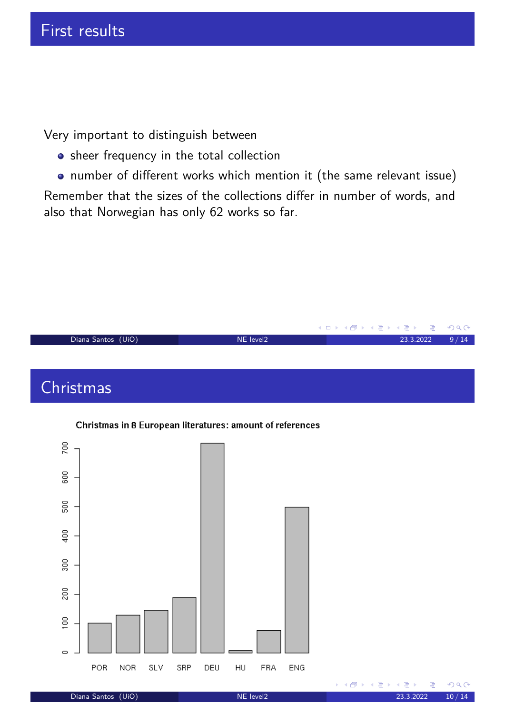Very important to distinguish between

- **•** sheer frequency in the total collection
- number of different works which mention it (the same relevant issue)

Remember that the sizes of the collections differ in number of words, and also that Norwegian has only 62 works so far.





Diana Santos (UiO) 14

舌

④ ▶ ◀ 重 ▶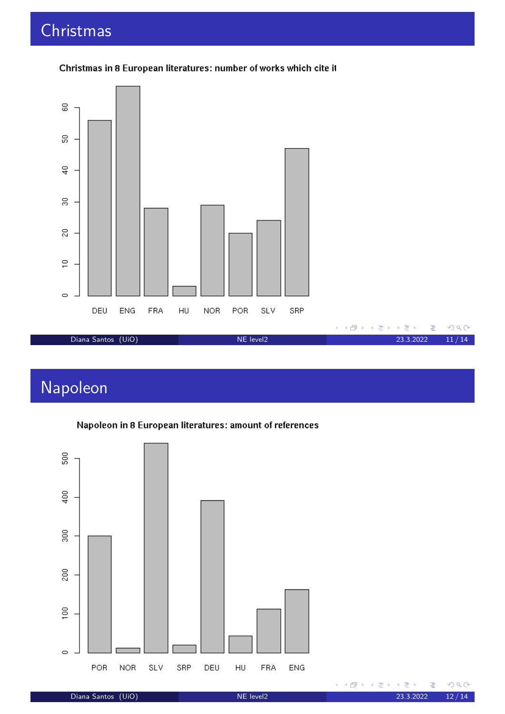## Christmas



#### Christmas in 8 European literatures: number of works which cite it

# Napoleon